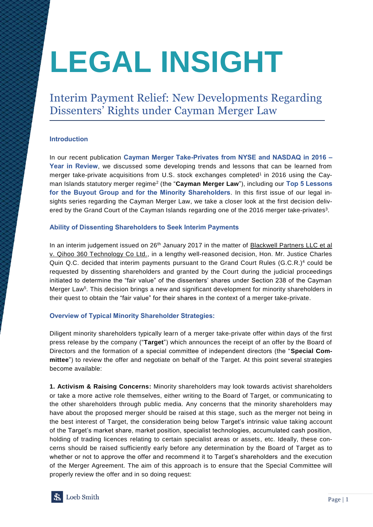# **LEGAL INSIGHT**

Interim Payment Relief: New Developments Regarding Dissenters' Rights under Cayman Merger Law

# **Introduction**

In our recent publication **[Cayman Merger Take-Privates from NYSE and NASDAQ in 2016](http://www.loebsmith.com/story/2017/03/09/cayman-merger-take-privates-from-nyse-and-nasdaq-in-2016-%E2%80%93-year-in-review/63/) – [Year in Review](http://www.loebsmith.com/story/2017/03/09/cayman-merger-take-privates-from-nyse-and-nasdaq-in-2016-%E2%80%93-year-in-review/63/)**, we discussed some developing trends and lessons that can be learned from merger take-private acquisitions from U.S. stock exchanges completed<sup>1</sup> in 2016 using the Cayman Islands statutory merger regime<sup>2</sup> (the "**Cayman Merger Law**"), including our **Top 5 Lessons for the Buyout Group and for the Minority Shareholders**. In this first issue of our legal insights series regarding the Cayman Merger Law, we take a closer look at the first decision delivered by the Grand Court of the Cayman Islands regarding one of the 2016 merger take-privates<sup>3</sup>.

### **Ability of Dissenting Shareholders to Seek Interim Payments**

In an interim judgement issued on 26<sup>th</sup> January 2017 in the matter of Blackwell Partners LLC et al v. Qihoo 360 Technology Co Ltd., in a lengthy well-reasoned decision, Hon. Mr. Justice Charles Quin Q.C. decided that interim payments pursuant to the Grand Court Rules (G.C.R.)<sup>4</sup> could be requested by dissenting shareholders and granted by the Court during the judicial proceedings initiated to determine the "fair value" of the dissenters' shares under Section 238 of the Cayman Merger Law<sup>5</sup>. This decision brings a new and significant development for minority shareholders in their quest to obtain the "fair value" for their shares in the context of a merger take-private.

### **Overview of Typical Minority Shareholder Strategies:**

Diligent minority shareholders typically learn of a merger take-private offer within days of the first press release by the company ("**Target**") which announces the receipt of an offer by the Board of Directors and the formation of a special committee of independent directors (the "**Special Committee**") to review the offer and negotiate on behalf of the Target. At this point several strategies become available:

**1. Activism & Raising Concerns:** Minority shareholders may look towards activist shareholders or take a more active role themselves, either writing to the Board of Target, or communicating to the other shareholders through public media. Any concerns that the minority shareholders may have about the proposed merger should be raised at this stage, such as the merger not being in the best interest of Target, the consideration being below Target's intrinsic value taking account of the Target's market share, market position, specialist technologies, accumulated cash position, holding of trading licences relating to certain specialist areas or assets, etc. Ideally, these concerns should be raised sufficiently early before any determination by the Board of Target as to whether or not to approve the offer and recommend it to Target's shareholders and the execution of the Merger Agreement. The aim of this approach is to ensure that the Special Committee will properly review the offer and in so doing request:

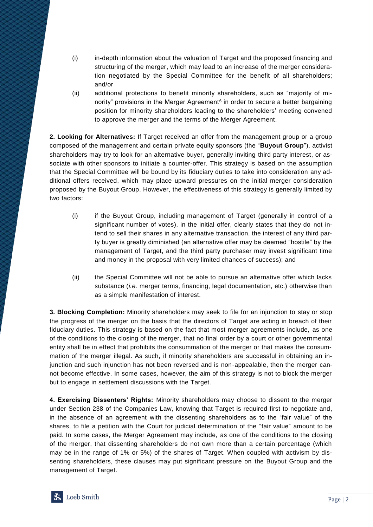- (i) in-depth information about the valuation of Target and the proposed financing and structuring of the merger, which may lead to an increase of the merger consideration negotiated by the Special Committee for the benefit of all shareholders; and/or
- (ii) additional protections to benefit minority shareholders, such as "majority of minority" provisions in the Merger Agreement<sup>6</sup> in order to secure a better bargaining position for minority shareholders leading to the shareholders' meeting convened to approve the merger and the terms of the Merger Agreement.

**2. Looking for Alternatives:** If Target received an offer from the management group or a group composed of the management and certain private equity sponsors (the "**Buyout Group**"), activist shareholders may try to look for an alternative buyer, generally inviting third party interest, or associate with other sponsors to initiate a counter-offer. This strategy is based on the assumption that the Special Committee will be bound by its fiduciary duties to take into consideration any additional offers received, which may place upward pressures on the initial merger consideration proposed by the Buyout Group. However, the effectiveness of this strategy is generally limited by two factors:

- (i) if the Buyout Group, including management of Target (generally in control of a significant number of votes), in the initial offer, clearly states that they do not intend to sell their shares in any alternative transaction, the interest of any third party buyer is greatly diminished (an alternative offer may be deemed "hostile" by the management of Target, and the third party purchaser may invest significant time and money in the proposal with very limited chances of success); and
- (ii) the Special Committee will not be able to pursue an alternative offer which lacks substance (*i.e.* merger terms, financing, legal documentation, etc.) otherwise than as a simple manifestation of interest.

**3. Blocking Completion:** Minority shareholders may seek to file for an injunction to stay or stop the progress of the merger on the basis that the directors of Target are acting in breach of their fiduciary duties. This strategy is based on the fact that most merger agreements include, as one of the conditions to the closing of the merger, that no final order by a court or other governmental entity shall be in effect that prohibits the consummation of the merger or that makes the consummation of the merger illegal. As such, if minority shareholders are successful in obtaining an injunction and such injunction has not been reversed and is non-appealable, then the merger cannot become effective. In some cases, however, the aim of this strategy is not to block the merger but to engage in settlement discussions with the Target.

**4. Exercising Dissenters' Rights:** Minority shareholders may choose to dissent to the merger under Section 238 of the Companies Law, knowing that Target is required first to negotiate and, in the absence of an agreement with the dissenting shareholders as to the "fair value" of the shares, to file a petition with the Court for judicial determination of the "fair value" amount to be paid. In some cases, the Merger Agreement may include, as one of the conditions to the closing of the merger, that dissenting shareholders do not own more than a certain percentage (which may be in the range of 1% or 5%) of the shares of Target. When coupled with activism by dissenting shareholders, these clauses may put significant pressure on the Buyout Group and the management of Target.

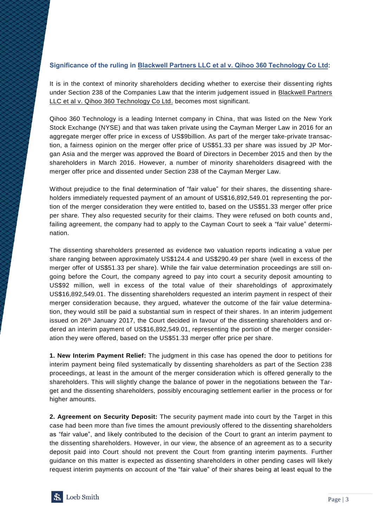## **Significance of the ruling in Blackwell Partners LLC et al v. Qihoo 360 Technology Co Ltd:**

It is in the context of minority shareholders deciding whether to exercise their dissenting rights under Section 238 of the Companies Law that the interim judgement issued in Blackwell Partners LLC et al v. Qihoo 360 Technology Co Ltd. becomes most significant.

Qihoo 360 Technology is a leading Internet company in China, that was listed on the New York Stock Exchange (NYSE) and that was taken private using the Cayman Merger Law in 2016 for an aggregate merger offer price in excess of US\$9billion. As part of the merger take-private transaction, a fairness opinion on the merger offer price of US\$51.33 per share was issued by JP Morgan Asia and the merger was approved the Board of Directors in December 2015 and then by the shareholders in March 2016. However, a number of minority shareholders disagreed with the merger offer price and dissented under Section 238 of the Cayman Merger Law.

Without prejudice to the final determination of "fair value" for their shares, the dissenting shareholders immediately requested payment of an amount of US\$16,892,549.01 representing the portion of the merger consideration they were entitled to, based on the US\$51.33 merger offer price per share. They also requested security for their claims. They were refused on both counts and, failing agreement, the company had to apply to the Cayman Court to seek a "fair value" determination.

The dissenting shareholders presented as evidence two valuation reports indicating a value per share ranging between approximately US\$124.4 and US\$290.49 per share (well in excess of the merger offer of US\$51.33 per share). While the fair value determination proceedings are still ongoing before the Court, the company agreed to pay into court a security deposit amounting to US\$92 million, well in excess of the total value of their shareholdings of approximately US\$16,892,549.01. The dissenting shareholders requested an interim payment in respect of their merger consideration because, they argued, whatever the outcome of the fair value determination, they would still be paid a substantial sum in respect of their shares. In an interim judgement issued on  $26<sup>th</sup>$  January 2017, the Court decided in favour of the dissenting shareholders and ordered an interim payment of US\$16,892,549.01, representing the portion of the merger consideration they were offered, based on the US\$51.33 merger offer price per share.

**1. New Interim Payment Relief:** The judgment in this case has opened the door to petitions for interim payment being filed systematically by dissenting shareholders as part of the Section 238 proceedings, at least in the amount of the merger consideration which is offered generally to the shareholders. This will slightly change the balance of power in the negotiations between the Target and the dissenting shareholders, possibly encouraging settlement earlier in the process or for higher amounts.

**2. Agreement on Security Deposit:** The security payment made into court by the Target in this case had been more than five times the amount previously offered to the dissenting shareholders as "fair value", and likely contributed to the decision of the Court to grant an interim payment to the dissenting shareholders. However, in our view, the absence of an agreement as to a security deposit paid into Court should not prevent the Court from granting interim payments. Further guidance on this matter is expected as dissenting shareholders in other pending cases will likely request interim payments on account of the "fair value" of their shares being at least equal to the

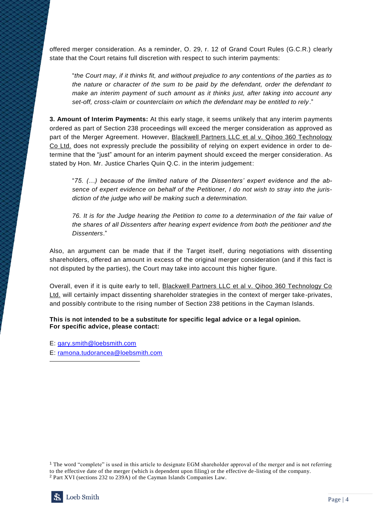offered merger consideration. As a reminder, O. 29, r. 12 of Grand Court Rules (G.C.R.) clearly state that the Court retains full discretion with respect to such interim payments:

"*the Court may, if it thinks fit, and without prejudice to any contentions of the parties as to the nature or character of the sum to be paid by the defendant, order the defendant to make an interim payment of such amount as it thinks just, after taking into account any set-off, cross-claim or counterclaim on which the defendant may be entitled to rely*."

**3. Amount of Interim Payments:** At this early stage, it seems unlikely that any interim payments ordered as part of Section 238 proceedings will exceed the merger consideration as approved as part of the Merger Agreement. However, Blackwell Partners LLC et al v. Qihoo 360 Technology Co Ltd. does not expressly preclude the possibility of relying on expert evidence in order to determine that the "just" amount for an interim payment should exceed the merger consideration. As stated by Hon. Mr. Justice Charles Quin Q.C. in the interim judgement:

"*75. (…) because of the limited nature of the Dissenters' expert evidence and the absence of expert evidence on behalf of the Petitioner, I do not wish to stray into the jurisdiction of the judge who will be making such a determination.*

*76. It is for the Judge hearing the Petition to come to a determination of the fair value of the shares of all Dissenters after hearing expert evidence from both the petitioner and the Dissenters*."

Also, an argument can be made that if the Target itself, during negotiations with dissenting shareholders, offered an amount in excess of the original merger consideration (and if this fact is not disputed by the parties), the Court may take into account this higher figure.

Overall, even if it is quite early to tell, Blackwell Partners LLC et al v. Qihoo 360 Technology Co Ltd. will certainly impact dissenting shareholder strategies in the context of merger take-privates, and possibly contribute to the rising number of Section 238 petitions in the Cayman Islands.

**This is not intended to be a substitute for specific legal advice or a legal opinion. For specific advice, please contact:**

E: gary.smith@loebsmith.com

E: [ramona.tudorancea@loebsmith.com](mailto:ramona.tudorancea@loebsmith.com)

<sup>1</sup> The word "complete" is used in this article to designate EGM shareholder approval of the merger and is not referring to the effective date of the merger (which is dependent upon filing) or the effective de-listing of the company. <sup>2</sup> Part XVI (sections 232 to 239A) of the Cayman Islands Companies Law.



 $\overline{a}$